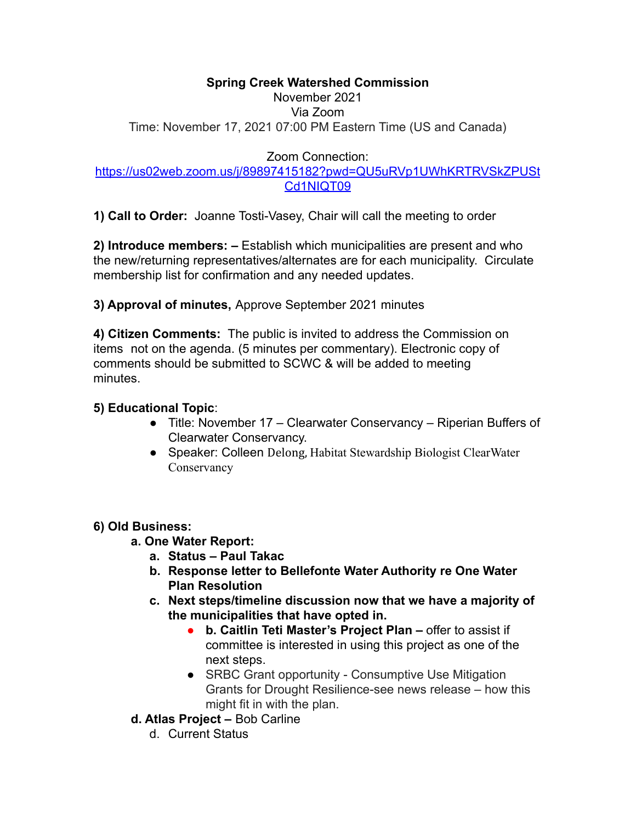#### **Spring Creek Watershed Commission**

# November 2021

Via Zoom Time: November 17, 2021 07:00 PM Eastern Time (US and Canada)

Zoom Connection:

### [https://us02web.zoom.us/j/89897415182?pwd=QU5uRVp1UWhKRTRVSkZPUSt](https://us02web.zoom.us/j/89897415182?pwd=QU5uRVp1UWhKRTRVSkZPUStCd1NIQT09) [Cd1NIQT09](https://us02web.zoom.us/j/89897415182?pwd=QU5uRVp1UWhKRTRVSkZPUStCd1NIQT09)

**1) Call to Order:** Joanne Tosti-Vasey, Chair will call the meeting to order

**2) Introduce members: –** Establish which municipalities are present and who the new/returning representatives/alternates are for each municipality. Circulate membership list for confirmation and any needed updates.

**3) Approval of minutes,** Approve September 2021 minutes

**4) Citizen Comments:** The public is invited to address the Commission on items not on the agenda. (5 minutes per commentary). Electronic copy of comments should be submitted to SCWC & will be added to meeting minutes.

## **5) Educational Topic**:

- Title: November 17 Clearwater Conservancy Riperian Buffers of Clearwater Conservancy.
- Speaker: Colleen Delong, Habitat Stewardship Biologist ClearWater **Conservancy**

## **6) Old Business:**

- **a. One Water Report:**
	- **a. Status Paul Takac**
	- **b. Response letter to Bellefonte Water Authority re One Water Plan Resolution**
	- **c. Next steps/timeline discussion now that we have a majority of the municipalities that have opted in.**
		- **b. Caitlin Teti Master's Project Plan –** offer to assist if committee is interested in using this project as one of the next steps.
		- **●** SRBC Grant opportunity Consumptive Use Mitigation Grants for Drought Resilience-see news release – how this might fit in with the plan.
- **d. Atlas Project –** Bob Carline
	- d. Current Status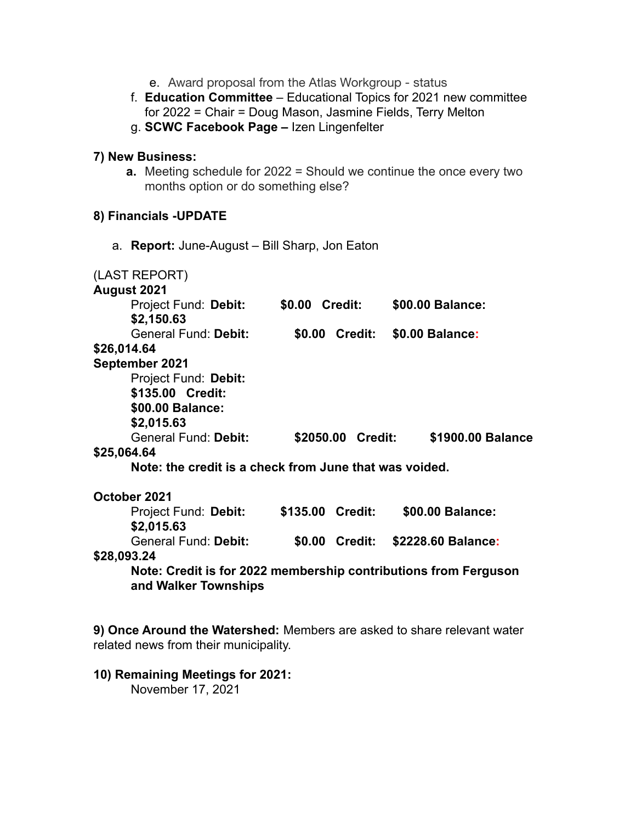- e. Award proposal from the Atlas Workgroup status
- f. **Education Committee** Educational Topics for 2021 new committee for 2022 = Chair = Doug Mason, Jasmine Fields, Terry Melton
- g. **SCWC Facebook Page –** Izen Lingenfelter

#### **7) New Business:**

**a.** Meeting schedule for 2022 = Should we continue the once every two months option or do something else?

#### **8) Financials -UPDATE**

a. **Report:** June-August – Bill Sharp, Jon Eaton

| (LAST REPORT)                                                   |  |                   |                    |
|-----------------------------------------------------------------|--|-------------------|--------------------|
| August 2021                                                     |  |                   |                    |
| Project Fund: Debit:                                            |  | \$0.00 Credit:    | \$00.00 Balance:   |
| \$2,150.63                                                      |  |                   |                    |
| General Fund: Debit:                                            |  | \$0.00 Credit:    | \$0.00 Balance:    |
| \$26,014.64                                                     |  |                   |                    |
| September 2021                                                  |  |                   |                    |
| Project Fund: Debit:                                            |  |                   |                    |
| \$135.00 Credit:                                                |  |                   |                    |
| \$00.00 Balance:                                                |  |                   |                    |
| \$2,015.63                                                      |  |                   |                    |
| General Fund: Debit:                                            |  | \$2050.00 Credit: | \$1900.00 Balance  |
| \$25,064.64                                                     |  |                   |                    |
| Note: the credit is a check from June that was voided.          |  |                   |                    |
| October 2021                                                    |  |                   |                    |
| Project Fund: Debit:                                            |  | \$135.00 Credit:  | \$00.00 Balance:   |
| \$2,015.63                                                      |  |                   |                    |
| General Fund: Debit:                                            |  | \$0.00 Credit:    | \$2228.60 Balance: |
| \$28,093.24                                                     |  |                   |                    |
| Note: Credit is for 2022 membership contributions from Ferguson |  |                   |                    |
| and Walker Townships                                            |  |                   |                    |
|                                                                 |  |                   |                    |

**9) Once Around the Watershed:** Members are asked to share relevant water related news from their municipality.

**10) Remaining Meetings for 2021:**

November 17, 2021